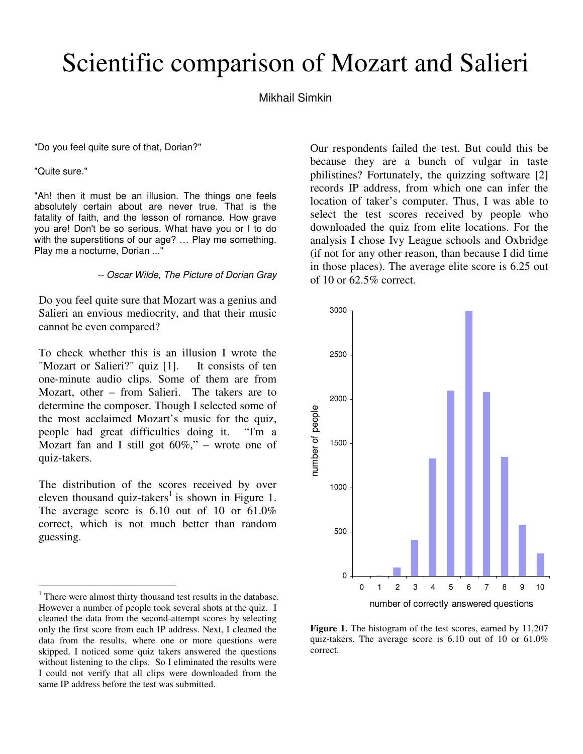## Scientific comparison of Mozart and Salieri

## Mikhail Simkin

"Do you feel quite sure of that, Dorian?"

"Quite sure."

 $\overline{a}$ 

"Ah! then it must be an illusion. The things one feels absolutely certain about are never true. That is the fatality of faith, and the lesson of romance. How grave you are! Don't be so serious. What have you or I to do with the superstitions of our age? ... Play me something. Play me a nocturne, Dorian ..."

-- Oscar Wilde, The Picture of Dorian Gray

Do you feel quite sure that Mozart was a genius and Salieri an envious mediocrity, and that their music cannot be even compared?

To check whether this is an illusion I wrote the "Mozart or Salieri?" quiz [1]. It consists of ten one-minute audio clips. Some of them are from Mozart, other – from Salieri. The takers are to determine the composer. Though I selected some of the most acclaimed Mozart's music for the quiz, people had great difficulties doing it. "I'm a Mozart fan and I still got  $60\%$ ," – wrote one of quiz-takers.

The distribution of the scores received by over eleven thousand quiz-takers<sup>1</sup> is shown in Figure 1. The average score is  $6.10$  out of 10 or  $61.0\%$ correct, which is not much better than random guessing.

Our respondents failed the test. But could this be because they are a bunch of vulgar in taste philistines? Fortunately, the quizzing software [2] records IP address, from which one can infer the location of taker's computer. Thus, I was able to select the test scores received by people who downloaded the quiz from elite locations. For the analysis I chose Ivy League schools and Oxbridge (if not for any other reason, than because I did time in those places). The average elite score is 6.25 out of 10 or 62.5% correct.



**Figure 1.** The histogram of the test scores, earned by 11,207 quiz-takers. The average score is 6.10 out of 10 or 61.0% correct.

<sup>&</sup>lt;sup>1</sup> There were almost thirty thousand test results in the database. However a number of people took several shots at the quiz. I cleaned the data from the second-attempt scores by selecting only the first score from each IP address. Next, I cleaned the data from the results, where one or more questions were skipped. I noticed some quiz takers answered the questions without listening to the clips. So I eliminated the results were I could not verify that all clips were downloaded from the same IP address before the test was submitted.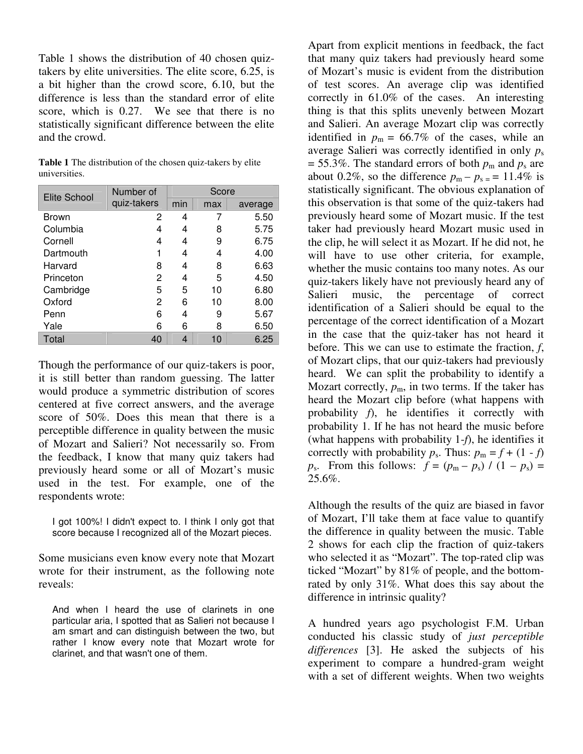Table 1 shows the distribution of 40 chosen quiztakers by elite universities. The elite score, 6.25, is a bit higher than the crowd score, 6.10, but the difference is less than the standard error of elite score, which is 0.27. We see that there is no statistically significant difference between the elite and the crowd.

| Table 1 The distribution of the chosen quiz-takers by elite |  |
|-------------------------------------------------------------|--|
| universities.                                               |  |

| Elite School | Number of   | Score |     |         |  |
|--------------|-------------|-------|-----|---------|--|
|              | quiz-takers | min   | max | average |  |
| <b>Brown</b> | 2           | 4     | 7   | 5.50    |  |
| Columbia     | 4           | 4     | 8   | 5.75    |  |
| Cornell      | 4           | 4     | 9   | 6.75    |  |
| Dartmouth    |             | 4     | 4   | 4.00    |  |
| Harvard      | 8           | 4     | 8   | 6.63    |  |
| Princeton    | 2           | 4     | 5   | 4.50    |  |
| Cambridge    | 5           | 5     | 10  | 6.80    |  |
| Oxford       | 2           | 6     | 10  | 8.00    |  |
| Penn         | 6           | 4     | 9   | 5.67    |  |
| Yale         | 6           | 6     | 8   | 6.50    |  |
| Total        | 40          | 4     | 10  | 6.25    |  |

Though the performance of our quiz-takers is poor, it is still better than random guessing. The latter would produce a symmetric distribution of scores centered at five correct answers, and the average score of 50%. Does this mean that there is a perceptible difference in quality between the music of Mozart and Salieri? Not necessarily so. From the feedback, I know that many quiz takers had previously heard some or all of Mozart's music used in the test. For example, one of the respondents wrote:

I got 100%! I didn't expect to. I think I only got that score because I recognized all of the Mozart pieces.

Some musicians even know every note that Mozart wrote for their instrument, as the following note reveals:

And when I heard the use of clarinets in one particular aria, I spotted that as Salieri not because I am smart and can distinguish between the two, but rather I know every note that Mozart wrote for clarinet, and that wasn't one of them.

Apart from explicit mentions in feedback, the fact that many quiz takers had previously heard some of Mozart's music is evident from the distribution of test scores. An average clip was identified correctly in 61.0% of the cases. An interesting thing is that this splits unevenly between Mozart and Salieri. An average Mozart clip was correctly identified in  $p_m = 66.7\%$  of the cases, while an average Salieri was correctly identified in only *p*<sup>s</sup>  $= 55.3\%$ . The standard errors of both  $p_m$  and  $p_s$  are about 0.2%, so the difference  $p_m - p_s = 11.4\%$  is statistically significant. The obvious explanation of this observation is that some of the quiz-takers had previously heard some of Mozart music. If the test taker had previously heard Mozart music used in the clip, he will select it as Mozart. If he did not, he will have to use other criteria, for example, whether the music contains too many notes. As our quiz-takers likely have not previously heard any of Salieri music, the percentage of correct identification of a Salieri should be equal to the percentage of the correct identification of a Mozart in the case that the quiz-taker has not heard it before. This we can use to estimate the fraction, *f*, of Mozart clips, that our quiz-takers had previously heard. We can split the probability to identify a Mozart correctly,  $p_m$ , in two terms. If the taker has heard the Mozart clip before (what happens with probability *f*), he identifies it correctly with probability 1. If he has not heard the music before (what happens with probability 1-*f*), he identifies it correctly with probability  $p_s$ . Thus:  $p_m = f + (1 - f)$  $p_s$ . From this follows:  $f = (p_m - p_s) / (1 - p_s) =$ 25.6%.

Although the results of the quiz are biased in favor of Mozart, I'll take them at face value to quantify the difference in quality between the music. Table 2 shows for each clip the fraction of quiz-takers who selected it as "Mozart". The top-rated clip was ticked "Mozart" by 81% of people, and the bottomrated by only 31%. What does this say about the difference in intrinsic quality?

A hundred years ago psychologist F.M. Urban conducted his classic study of *just perceptible differences* [3]. He asked the subjects of his experiment to compare a hundred-gram weight with a set of different weights. When two weights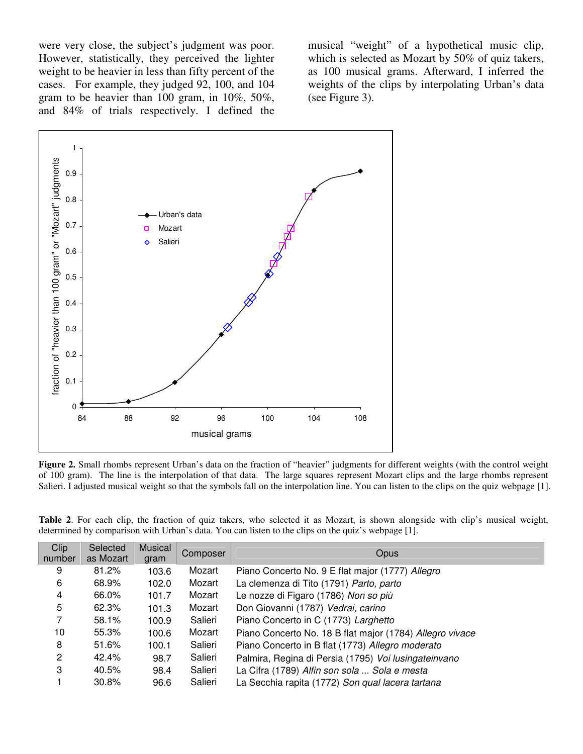were very close, the subject's judgment was poor. However, statistically, they perceived the lighter weight to be heavier in less than fifty percent of the cases. For example, they judged 92, 100, and 104 gram to be heavier than 100 gram, in 10%, 50%, and 84% of trials respectively. I defined the

musical "weight" of a hypothetical music clip, which is selected as Mozart by 50% of quiz takers, as 100 musical grams. Afterward, I inferred the weights of the clips by interpolating Urban's data (see Figure 3).



**Figure 2.** Small rhombs represent Urban's data on the fraction of "heavier" judgments for different weights (with the control weight of 100 gram). The line is the interpolation of that data. The large squares represent Mozart clips and the large rhombs represent Salieri. I adjusted musical weight so that the symbols fall on the interpolation line. You can listen to the clips on the quiz webpage [1].

**Table 2**. For each clip, the fraction of quiz takers, who selected it as Mozart, is shown alongside with clip's musical weight, determined by comparison with Urban's data. You can listen to the clips on the quiz's webpage [1].

| Clip   | Selected  | <b>Musical</b> | Composer | <b>Opus</b>                                              |  |
|--------|-----------|----------------|----------|----------------------------------------------------------|--|
| number | as Mozart | gram           |          |                                                          |  |
| 9      | 81.2%     | 103.6          | Mozart   | Piano Concerto No. 9 E flat major (1777) Allegro         |  |
| 6      | 68.9%     | 102.0          | Mozart   | La clemenza di Tito (1791) Parto, parto                  |  |
| 4      | 66.0%     | 101.7          | Mozart   | Le nozze di Figaro (1786) Non so più                     |  |
| 5      | 62.3%     | 101.3          | Mozart   | Don Giovanni (1787) Vedrai, carino                       |  |
|        | 58.1%     | 100.9          | Salieri  | Piano Concerto in C (1773) Larghetto                     |  |
| 10     | 55.3%     | 100.6          | Mozart   | Piano Concerto No. 18 B flat major (1784) Allegro vivace |  |
| 8      | 51.6%     | 100.1          | Salieri  | Piano Concerto in B flat (1773) Allegro moderato         |  |
| 2      | 42.4%     | 98.7           | Salieri  | Palmira, Regina di Persia (1795) Voi lusingateinvano     |  |
| 3      | 40.5%     | 98.4           | Salieri  | La Cifra (1789) Alfin son sola  Sola e mesta             |  |
|        | 30.8%     | 96.6           | Salieri  | La Secchia rapita (1772) Son qual lacera tartana         |  |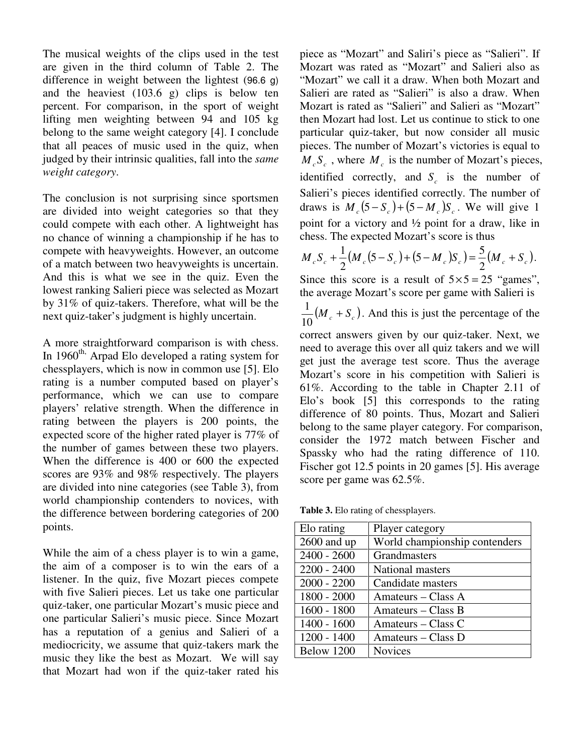The musical weights of the clips used in the test are given in the third column of Table 2. The difference in weight between the lightest (96.6 g) and the heaviest (103.6 g) clips is below ten percent. For comparison, in the sport of weight lifting men weighting between 94 and 105 kg belong to the same weight category [4]. I conclude that all peaces of music used in the quiz, when judged by their intrinsic qualities, fall into the *same weight category*.

The conclusion is not surprising since sportsmen are divided into weight categories so that they could compete with each other. A lightweight has no chance of winning a championship if he has to compete with heavyweights. However, an outcome of a match between two heavyweights is uncertain. And this is what we see in the quiz. Even the lowest ranking Salieri piece was selected as Mozart by 31% of quiz-takers. Therefore, what will be the next quiz-taker's judgment is highly uncertain.

A more straightforward comparison is with chess. In 1960<sup>th,</sup> Arpad Elo developed a rating system for chessplayers, which is now in common use [5]. Elo rating is a number computed based on player's performance, which we can use to compare players' relative strength. When the difference in rating between the players is 200 points, the expected score of the higher rated player is 77% of the number of games between these two players. When the difference is 400 or 600 the expected scores are 93% and 98% respectively. The players are divided into nine categories (see Table 3), from world championship contenders to novices, with the difference between bordering categories of 200 points.

While the aim of a chess player is to win a game, the aim of a composer is to win the ears of a listener. In the quiz, five Mozart pieces compete with five Salieri pieces. Let us take one particular quiz-taker, one particular Mozart's music piece and one particular Salieri's music piece. Since Mozart has a reputation of a genius and Salieri of a mediocricity, we assume that quiz-takers mark the music they like the best as Mozart. We will say that Mozart had won if the quiz-taker rated his

piece as "Mozart" and Saliri's piece as "Salieri". If Mozart was rated as "Mozart" and Salieri also as "Mozart" we call it a draw. When both Mozart and Salieri are rated as "Salieri" is also a draw. When Mozart is rated as "Salieri" and Salieri as "Mozart" then Mozart had lost. Let us continue to stick to one particular quiz-taker, but now consider all music pieces. The number of Mozart's victories is equal to  $M_c S_c$ , where  $M_c$  is the number of Mozart's pieces, identified correctly, and  $S_c$  is the number of Salieri's pieces identified correctly. The number of draws is  $M_c (5 - S_c) + (5 - M_c) S_c$ . We will give 1 point for a victory and ½ point for a draw, like in chess. The expected Mozart's score is thus

$$
M_c S_c + \frac{1}{2} (M_c (5 - S_c) + (5 - M_c) S_c) = \frac{5}{2} (M_c + S_c).
$$

Since this score is a result of  $5 \times 5 = 25$  "games", the average Mozart's score per game with Salieri is

 $\frac{1}{10} (M_c + S_c)$  $\frac{1}{2}(M_c + S_c)$ . And this is just the percentage of the

correct answers given by our quiz-taker. Next, we need to average this over all quiz takers and we will get just the average test score. Thus the average Mozart's score in his competition with Salieri is 61%. According to the table in Chapter 2.11 of Elo's book [5] this corresponds to the rating difference of 80 points. Thus, Mozart and Salieri belong to the same player category. For comparison, consider the 1972 match between Fischer and Spassky who had the rating difference of 110. Fischer got 12.5 points in 20 games [5]. His average score per game was 62.5%.

**Table 3.** Elo rating of chessplayers.

| Elo rating    | Player category               |
|---------------|-------------------------------|
| $2600$ and up | World championship contenders |
| $2400 - 2600$ | Grandmasters                  |
| $2200 - 2400$ | National masters              |
| $2000 - 2200$ | Candidate masters             |
| 1800 - 2000   | Amateurs – Class A            |
| $1600 - 1800$ | Amateurs – Class B            |
| $1400 - 1600$ | Amateurs – Class C            |
| $1200 - 1400$ | Amateurs – Class D            |
| Below 1200    | <b>Novices</b>                |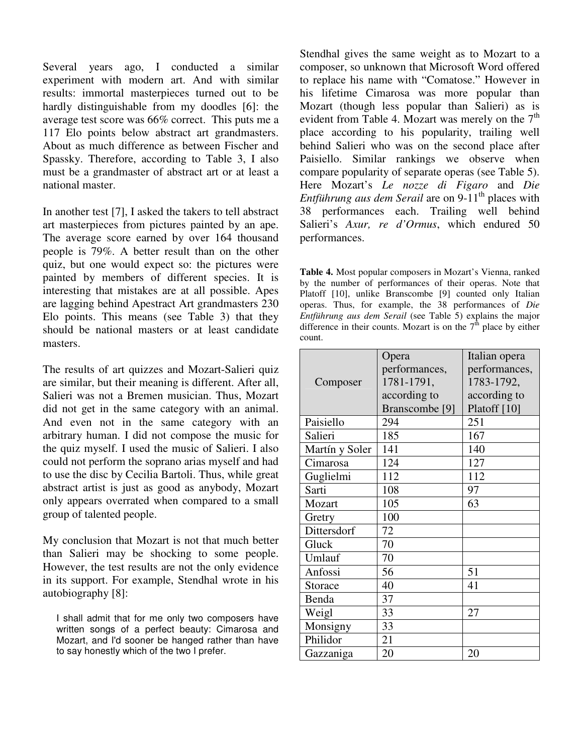Several years ago, I conducted a similar experiment with modern art. And with similar results: immortal masterpieces turned out to be hardly distinguishable from my doodles [6]: the average test score was 66% correct. This puts me a 117 Elo points below abstract art grandmasters. About as much difference as between Fischer and Spassky. Therefore, according to Table 3, I also must be a grandmaster of abstract art or at least a national master.

In another test [7], I asked the takers to tell abstract art masterpieces from pictures painted by an ape. The average score earned by over 164 thousand people is 79%. A better result than on the other quiz, but one would expect so: the pictures were painted by members of different species. It is interesting that mistakes are at all possible. Apes are lagging behind Apestract Art grandmasters 230 Elo points. This means (see Table 3) that they should be national masters or at least candidate masters.

The results of art quizzes and Mozart-Salieri quiz are similar, but their meaning is different. After all, Salieri was not a Bremen musician. Thus, Mozart did not get in the same category with an animal. And even not in the same category with an arbitrary human. I did not compose the music for the quiz myself. I used the music of Salieri. I also could not perform the soprano arias myself and had to use the disc by Cecilia Bartoli. Thus, while great abstract artist is just as good as anybody, Mozart only appears overrated when compared to a small group of talented people.

My conclusion that Mozart is not that much better than Salieri may be shocking to some people. However, the test results are not the only evidence in its support. For example, Stendhal wrote in his autobiography [8]:

I shall admit that for me only two composers have written songs of a perfect beauty: Cimarosa and Mozart, and I'd sooner be hanged rather than have to say honestly which of the two I prefer.

Stendhal gives the same weight as to Mozart to a composer, so unknown that Microsoft Word offered to replace his name with "Comatose." However in his lifetime Cimarosa was more popular than Mozart (though less popular than Salieri) as is evident from Table 4. Mozart was merely on the  $7<sup>th</sup>$ place according to his popularity, trailing well behind Salieri who was on the second place after Paisiello. Similar rankings we observe when compare popularity of separate operas (see Table 5). Here Mozart's *Le nozze di Figaro* and *Die Entführung aus dem Serail* are on 9-11<sup>th</sup> places with 38 performances each. Trailing well behind Salieri's *Axur, re d'Ormus*, which endured 50 performances.

**Table 4.** Most popular composers in Mozart's Vienna, ranked by the number of performances of their operas. Note that Platoff [10], unlike Branscombe [9] counted only Italian operas. Thus, for example, the 38 performances of *Die Entführung aus dem Serail* (see Table 5) explains the major difference in their counts. Mozart is on the  $7<sup>th</sup>$  place by either count.

|                | Opera                     | Italian opera |
|----------------|---------------------------|---------------|
|                | performances,             | performances, |
| Composer       | 1781-1791,                | 1783-1792,    |
|                | according to              | according to  |
|                | Branscombe <sup>[9]</sup> | Platoff [10]  |
| Paisiello      | 294                       | 251           |
| Salieri        | 185                       | 167           |
| Martín y Soler | 141                       | 140           |
| Cimarosa       | 124                       | 127           |
| Guglielmi      | 112                       | 112           |
| Sarti          | 108                       | 97            |
| Mozart         | 105                       | 63            |
| Gretry         | 100                       |               |
| Dittersdorf    | 72                        |               |
| Gluck          | 70                        |               |
| Umlauf         | 70                        |               |
| Anfossi        | 56                        | 51            |
| Storace        | 40                        | 41            |
| Benda          | 37                        |               |
| Weigl          | 33                        | 27            |
| Monsigny       | 33                        |               |
| Philidor       | 21                        |               |
| Gazzaniga      | 20                        | 20            |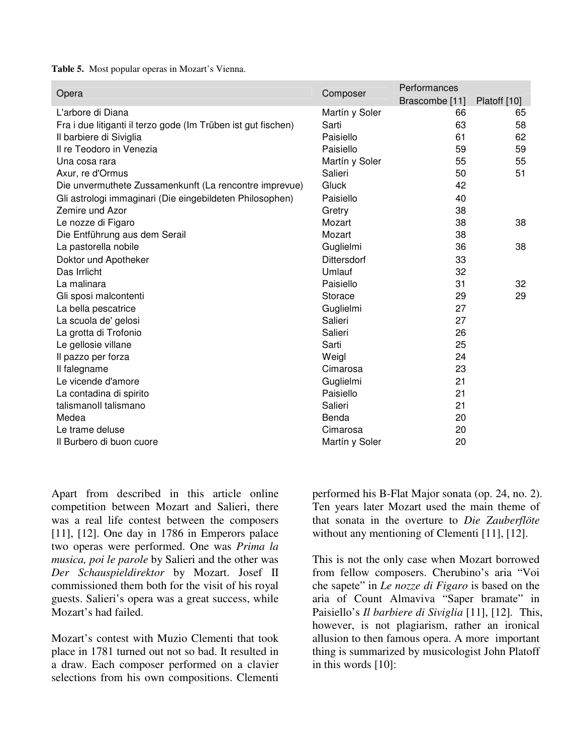**Table 5.** Most popular operas in Mozart's Vienna.

| Opera                                                         | Composer           | Performances   |              |
|---------------------------------------------------------------|--------------------|----------------|--------------|
|                                                               |                    | Brascombe [11] | Platoff [10] |
| L'arbore di Diana                                             | Martín y Soler     | 66             | 65           |
| Fra i due litiganti il terzo gode (Im Trüben ist gut fischen) | Sarti              | 63             | 58           |
| Il barbiere di Siviglia                                       | Paisiello          | 61             | 62           |
| Il re Teodoro in Venezia                                      | Paisiello          | 59             | 59           |
| Una cosa rara                                                 | Martín y Soler     | 55             | 55           |
| Axur, re d'Ormus                                              | Salieri            | 50             | 51           |
| Die unvermuthete Zussamenkunft (La rencontre imprevue)        | <b>Gluck</b>       | 42             |              |
| Gli astrologi immaginari (Die eingebildeten Philosophen)      | Paisiello          | 40             |              |
| Zemire und Azor                                               | Gretry             | 38             |              |
| Le nozze di Figaro                                            | Mozart             | 38             | 38           |
| Die Entführung aus dem Serail                                 | Mozart             | 38             |              |
| La pastorella nobile                                          | Guglielmi          | 36             | 38           |
| Doktor und Apotheker                                          | <b>Dittersdorf</b> | 33             |              |
| Das Irrlicht                                                  | Umlauf             | 32             |              |
| La malinara                                                   | Paisiello          | 31             | 32           |
| Gli sposi malcontenti                                         | Storace            | 29             | 29           |
| La bella pescatrice                                           | Guglielmi          | 27             |              |
| La scuola de' gelosi                                          | Salieri            | 27             |              |
| La grotta di Trofonio                                         | Salieri            | 26             |              |
| Le gellosie villane                                           | Sarti              | 25             |              |
| Il pazzo per forza                                            | Weigl              | 24             |              |
| Il falegname                                                  | Cimarosa           | 23             |              |
| Le vicende d'amore                                            | Guglielmi          | 21             |              |
| La contadina di spirito                                       | Paisiello          | 21             |              |
| talismanoll talismano                                         | Salieri            | 21             |              |
| Medea                                                         | Benda              | 20             |              |
| Le trame deluse                                               | Cimarosa           | 20             |              |
| Il Burbero di buon cuore                                      | Martín y Soler     | 20             |              |

Apart from described in this article online competition between Mozart and Salieri, there was a real life contest between the composers [11], [12]. One day in 1786 in Emperors palace two operas were performed. One was *Prima la musica, poi le parole* by Salieri and the other was *Der Schauspieldirektor* by Mozart. Josef II commissioned them both for the visit of his royal guests. Salieri's opera was a great success, while Mozart's had failed.

Mozart's contest with Muzio Clementi that took place in 1781 turned out not so bad. It resulted in a draw. Each composer performed on a clavier selections from his own compositions. Clementi performed his B-Flat Major sonata (op. 24, no. 2). Ten years later Mozart used the main theme of that sonata in the overture to *Die Zauberflöte* without any mentioning of Clementi [11], [12].

This is not the only case when Mozart borrowed from fellow composers. Cherubino's aria "Voi che sapete" in *Le nozze di Figaro* is based on the aria of Count Almaviva "Saper bramate" in Paisiello's *Il barbiere di Siviglia* [11], [12]*.* This, however, is not plagiarism, rather an ironical allusion to then famous opera. A more important thing is summarized by musicologist John Platoff in this words [10]: